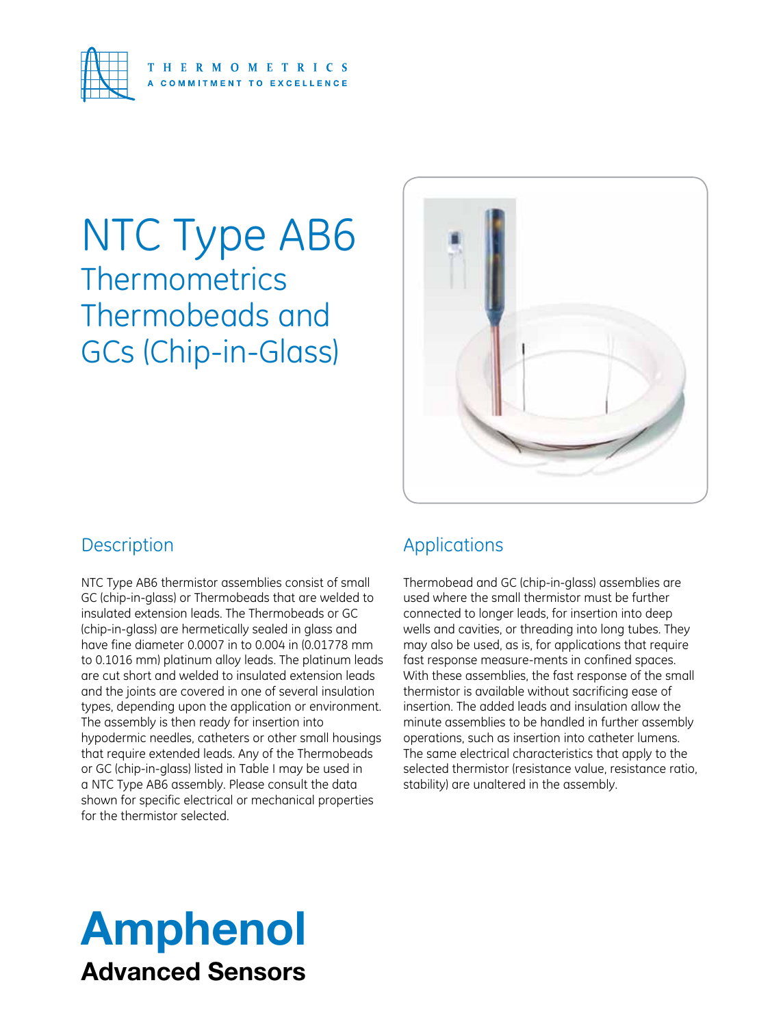

## NTC Type AB6 **Thermometrics** Thermobeads and GCs (Chip-in-Glass)



### **Description**

NTC Type AB6 thermistor assemblies consist of small GC (chip-in-glass) or Thermobeads that are welded to insulated extension leads. The Thermobeads or GC (chip-in-glass) are hermetically sealed in glass and have fine diameter 0.0007 in to 0.004 in (0.01778 mm to 0.1016 mm) platinum alloy leads. The platinum leads are cut short and welded to insulated extension leads and the joints are covered in one of several insulation types, depending upon the application or environment. The assembly is then ready for insertion into hypodermic needles, catheters or other small housings that require extended leads. Any of the Thermobeads or GC (chip-in-glass) listed in Table I may be used in a NTC Type AB6 assembly. Please consult the data shown for specific electrical or mechanical properties for the thermistor selected.

### Applications

Thermobead and GC (chip-in-glass) assemblies are used where the small thermistor must be further connected to longer leads, for insertion into deep wells and cavities, or threading into long tubes. They may also be used, as is, for applications that require fast response measure-ments in confined spaces. With these assemblies, the fast response of the small thermistor is available without sacrificing ease of insertion. The added leads and insulation allow the minute assemblies to be handled in further assembly operations, such as insertion into catheter lumens. The same electrical characteristics that apply to the selected thermistor (resistance value, resistance ratio, stability) are unaltered in the assembly.

## Amphenol Advanced Sensors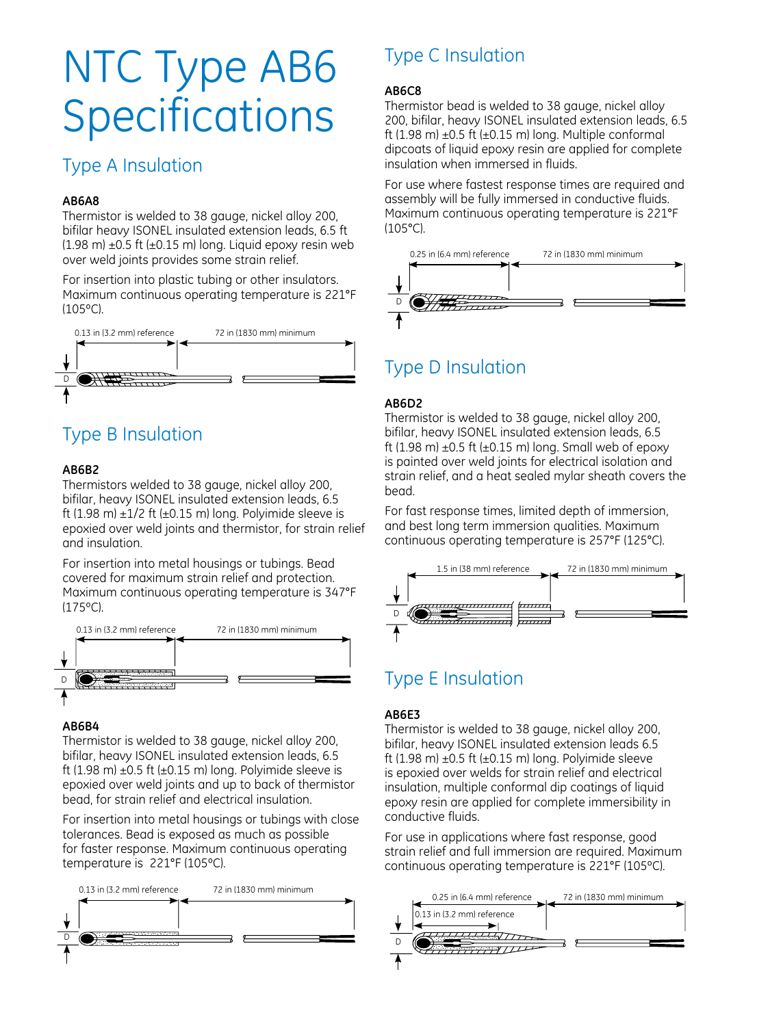# NTC Type AB6 **Specifications**

### Type A Insulation

### **AB6A8**

Thermistor is welded to 38 gauge, nickel alloy 200, bifilar heavy ISONEL insulated extension leads, 6.5 ft  $(1.98 \text{ m}) \pm 0.5 \text{ ft} (\pm 0.15 \text{ m})$  long. Liquid epoxy resin web over weld joints provides some strain relief.

For insertion into plastic tubing or other insulators. Maximum continuous operating temperature is 221°F (105ºC).



### Type B Insulation

### **AB6B2**

Thermistors welded to 38 gauge, nickel alloy 200, bifilar, heavy ISONEL insulated extension leads, 6.5 ft (1.98 m)  $\pm$ 1/2 ft ( $\pm$ 0.15 m) long. Polyimide sleeve is epoxied over weld joints and thermistor, for strain relief and insulation.

For insertion into metal housings or tubings. Bead covered for maximum strain relief and protection. Maximum continuous operating temperature is 347°F (175ºC).



### **AB6B4**

Thermistor is welded to 38 gauge, nickel alloy 200, bifilar, heavy ISONEL insulated extension leads, 6.5 ft (1.98 m)  $\pm$ 0.5 ft ( $\pm$ 0.15 m) long. Polyimide sleeve is epoxied over weld joints and up to back of thermistor bead, for strain relief and electrical insulation.

For insertion into metal housings or tubings with close tolerances. Bead is exposed as much as possible for faster response. Maximum continuous operating temperature is 221°F (105ºC).



### Type C Insulation

#### **AB6C8**

Thermistor bead is welded to 38 gauge, nickel alloy 200, bifilar, heavy ISONEL insulated extension leads, 6.5 ft (1.98 m)  $\pm$ 0.5 ft ( $\pm$ 0.15 m) long. Multiple conformal dipcoats of liquid epoxy resin are applied for complete insulation when immersed in fluids.

For use where fastest response times are required and assembly will be fully immersed in conductive fluids. Maximum continuous operating temperature is 221°F (105°C).



### Type D Insulation

### **AB6D2**

Thermistor is welded to 38 gauge, nickel alloy 200, bifilar, heavy ISONEL insulated extension leads, 6.5 ft (1.98 m)  $\pm$ 0.5 ft ( $\pm$ 0.15 m) long. Small web of epoxy is painted over weld joints for electrical isolation and strain relief, and a heat sealed mylar sheath covers the bead.

For fast response times, limited depth of immersion, and best long term immersion qualities. Maximum continuous operating temperature is 257°F (125°C).



### Type E Insulation

### **AB6E3**

Thermistor is welded to 38 gauge, nickel alloy 200, bifilar, heavy ISONEL insulated extension leads 6.5 ft (1.98 m)  $\pm$ 0.5 ft ( $\pm$ 0.15 m) long. Polyimide sleeve is epoxied over welds for strain relief and electrical insulation, multiple conformal dip coatings of liquid epoxy resin are applied for complete immersibility in conductive fluids.

For use in applications where fast response, good strain relief and full immersion are required. Maximum continuous operating temperature is 221°F (105ºC).

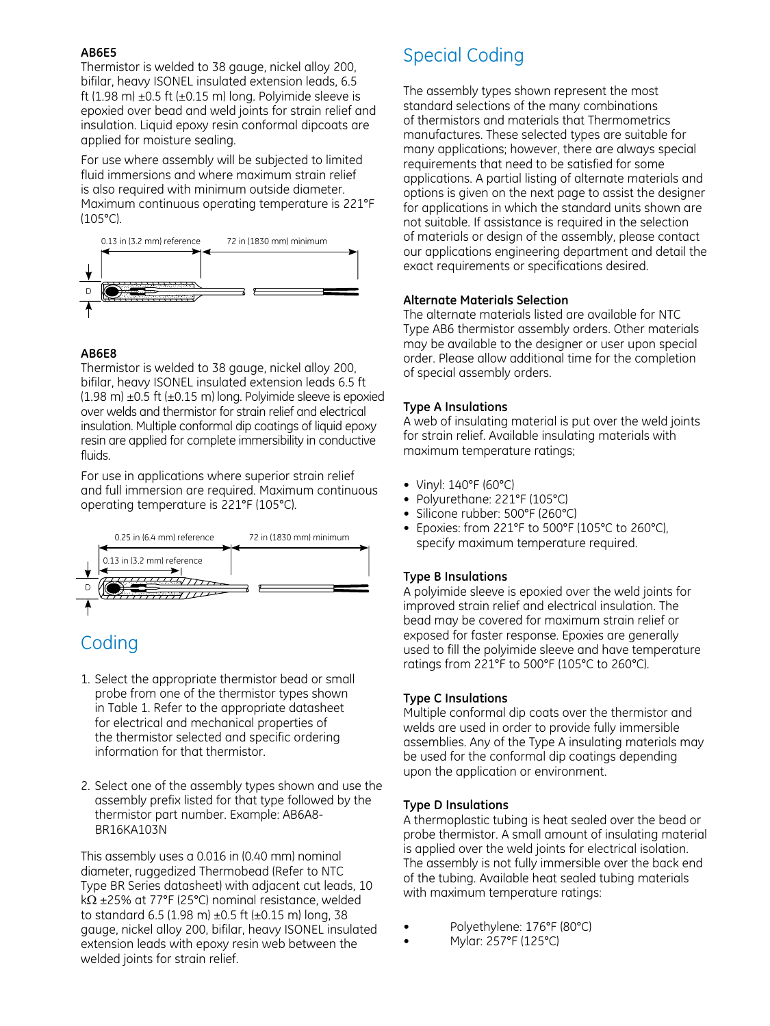### **AB6E5**

Thermistor is welded to 38 gauge, nickel alloy 200, bifilar, heavy ISONEL insulated extension leads, 6.5 ft (1.98 m)  $\pm$ 0.5 ft ( $\pm$ 0.15 m) long. Polyimide sleeve is epoxied over bead and weld joints for strain relief and insulation. Liquid epoxy resin conformal dipcoats are applied for moisture sealing.

For use where assembly will be subjected to limited fluid immersions and where maximum strain relief is also required with minimum outside diameter. Maximum continuous operating temperature is 221°F (105°C).



### **AB6E8**

Thermistor is welded to 38 gauge, nickel alloy 200, bifilar, heavy ISONEL insulated extension leads 6.5 ft  $(1.98 \text{ m}) \pm 0.5 \text{ ft} (\pm 0.15 \text{ m})$  long. Polyimide sleeve is epoxied over welds and thermistor for strain relief and electrical insulation. Multiple conformal dip coatings of liquid epoxy resin are applied for complete immersibility in conductive fluids.

For use in applications where superior strain relief and full immersion are required. Maximum continuous operating temperature is 221°F (105°C).



### Coding

- 1. Select the appropriate thermistor bead or small probe from one of the thermistor types shown in Table 1. Refer to the appropriate datasheet for electrical and mechanical properties of the thermistor selected and specific ordering information for that thermistor.
- 2. Select one of the assembly types shown and use the assembly prefix listed for that type followed by the thermistor part number. Example: AB6A8- BR16KA103N

This assembly uses a 0.016 in (0.40 mm) nominal diameter, ruggedized Thermobead (Refer to NTC Type BR Series datasheet) with adjacent cut leads, 10  $k\Omega$  ±25% at 77°F (25°C) nominal resistance, welded to standard 6.5 (1.98 m)  $\pm$ 0.5 ft ( $\pm$ 0.15 m) long, 38 gauge, nickel alloy 200, bifilar, heavy ISONEL insulated extension leads with epoxy resin web between the welded joints for strain relief.

### Special Coding

The assembly types shown represent the most standard selections of the many combinations of thermistors and materials that Thermometrics manufactures. These selected types are suitable for many applications; however, there are always special requirements that need to be satisfied for some applications. A partial listing of alternate materials and options is given on the next page to assist the designer for applications in which the standard units shown are not suitable. If assistance is required in the selection of materials or design of the assembly, please contact our applications engineering department and detail the exact requirements or specifications desired.

### **Alternate Materials Selection**

The alternate materials listed are available for NTC Type AB6 thermistor assembly orders. Other materials may be available to the designer or user upon special order. Please allow additional time for the completion of special assembly orders.

### **Type A Insulations**

A web of insulating material is put over the weld joints for strain relief. Available insulating materials with maximum temperature ratings;

- • Vinyl: 140°F (60°C)
- Polyurethane: 221°F (105°C)
- Silicone rubber: 500°F (260°C)
- • Epoxies: from 221°F to 500°F (105°C to 260°C), specify maximum temperature required.

### **Type B Insulations**

A polyimide sleeve is epoxied over the weld joints for improved strain relief and electrical insulation. The bead may be covered for maximum strain relief or exposed for faster response. Epoxies are generally used to fill the polyimide sleeve and have temperature ratings from 221°F to 500°F (105°C to 260°C).

### **Type C Insulations**

Multiple conformal dip coats over the thermistor and welds are used in order to provide fully immersible assemblies. Any of the Type A insulating materials may be used for the conformal dip coatings depending upon the application or environment.

### **Type D Insulations**

A thermoplastic tubing is heat sealed over the bead or probe thermistor. A small amount of insulating material is applied over the weld joints for electrical isolation. The assembly is not fully immersible over the back end of the tubing. Available heat sealed tubing materials with maximum temperature ratings:

- Polyethylene: 176°F (80°C)
- • Mylar: 257°F (125°C)